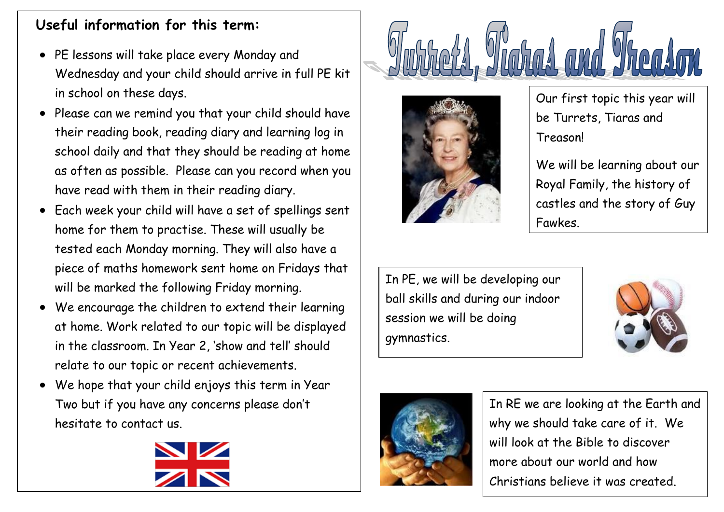## **Useful information for this term:**

- PE lessons will take place every Monday and Wednesday and your child should arrive in full PE kit in school on these days.
- Please can we remind you that your child should have their reading book, reading diary and learning log in school daily and that they should be reading at home as often as possible. Please can you record when you have read with them in their reading diary.
- Each week your child will have a set of spellings sent home for them to practise. These will usually be tested each Monday morning. They will also have a piece of maths homework sent home on Fridays that will be marked the following Friday morning.
- We encourage the children to extend their learning at home. Work related to our topic will be displayed in the classroom. In Year 2, 'show and tell' should relate to our topic or recent achievements.
- We hope that your child enjoys this term in Year Two but if you have any concerns please don't hesitate to contact us.







Our first topic this year will be Turrets, Tiaras and Treason!

We will be learning about our Royal Family, the history of castles and the story of Guy Fawkes.

In PE, we will be developing our ball skills and during our indoor session we will be doing gymnastics.





In RE we are looking at the Earth and why we should take care of it. We will look at the Bible to discover more about our world and how Christians believe it was created.